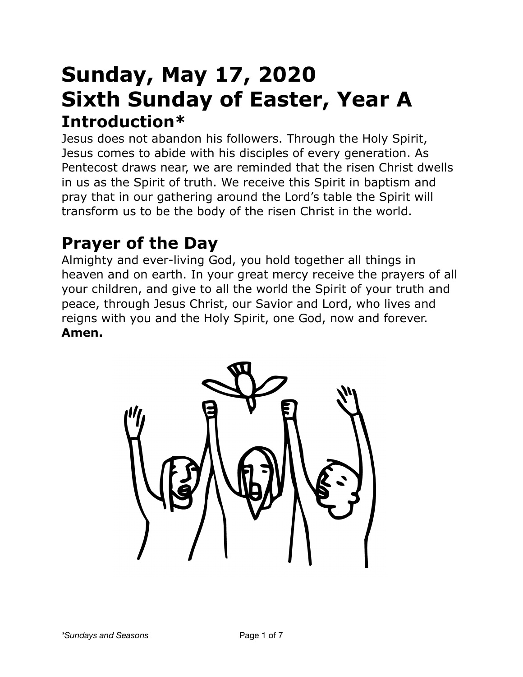# **Sunday, May 17, 2020 Sixth Sunday of Easter, Year A Introduction\***

Jesus does not abandon his followers. Through the Holy Spirit, Jesus comes to abide with his disciples of every generation. As Pentecost draws near, we are reminded that the risen Christ dwells in us as the Spirit of truth. We receive this Spirit in baptism and pray that in our gathering around the Lord's table the Spirit will transform us to be the body of the risen Christ in the world.

# **Prayer of the Day**

Almighty and ever-living God, you hold together all things in heaven and on earth. In your great mercy receive the prayers of all your children, and give to all the world the Spirit of your truth and peace, through Jesus Christ, our Savior and Lord, who lives and reigns with you and the Holy Spirit, one God, now and forever. **Amen.**

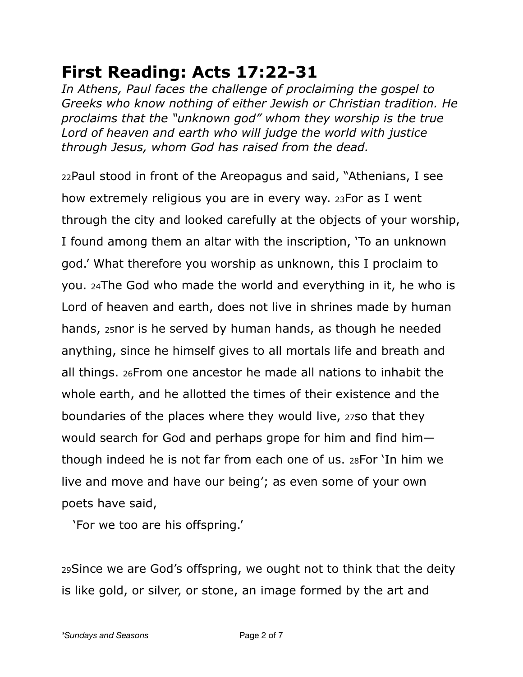## **First Reading: Acts 17:22-31**

*In Athens, Paul faces the challenge of proclaiming the gospel to Greeks who know nothing of either Jewish or Christian tradition. He proclaims that the "unknown god" whom they worship is the true Lord of heaven and earth who will judge the world with justice through Jesus, whom God has raised from the dead.* 

22Paul stood in front of the Areopagus and said, "Athenians, I see how extremely religious you are in every way. 23For as I went through the city and looked carefully at the objects of your worship, I found among them an altar with the inscription, 'To an unknown god.' What therefore you worship as unknown, this I proclaim to you. 24The God who made the world and everything in it, he who is Lord of heaven and earth, does not live in shrines made by human hands, 25nor is he served by human hands, as though he needed anything, since he himself gives to all mortals life and breath and all things. 26From one ancestor he made all nations to inhabit the whole earth, and he allotted the times of their existence and the boundaries of the places where they would live, 27so that they would search for God and perhaps grope for him and find him though indeed he is not far from each one of us. 28For 'In him we live and move and have our being'; as even some of your own poets have said,

'For we too are his offspring.'

29Since we are God's offspring, we ought not to think that the deity is like gold, or silver, or stone, an image formed by the art and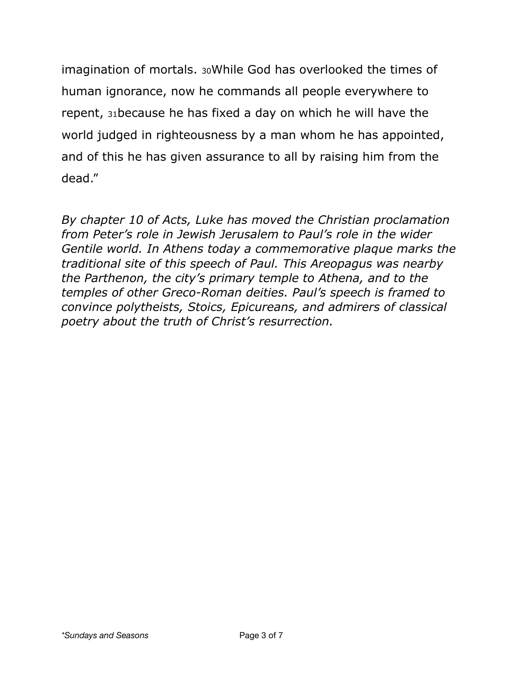imagination of mortals. 30While God has overlooked the times of human ignorance, now he commands all people everywhere to repent, 31because he has fixed a day on which he will have the world judged in righteousness by a man whom he has appointed, and of this he has given assurance to all by raising him from the dead."

*By chapter 10 of Acts, Luke has moved the Christian proclamation from Peter's role in Jewish Jerusalem to Paul's role in the wider Gentile world. In Athens today a commemorative plaque marks the traditional site of this speech of Paul. This Areopagus was nearby the Parthenon, the city's primary temple to Athena, and to the temples of other Greco-Roman deities. Paul's speech is framed to convince polytheists, Stoics, Epicureans, and admirers of classical poetry about the truth of Christ's resurrection.*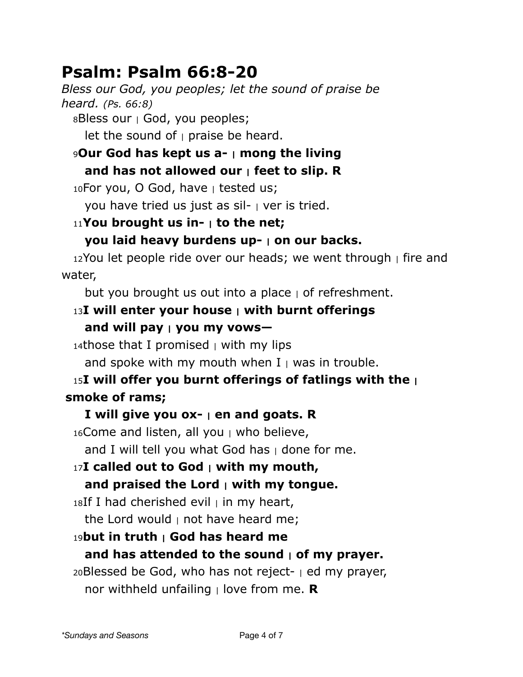## **Psalm: Psalm 66:8-20**

*Bless our God, you peoples; let the sound of praise be heard. (Ps. 66:8)*

 $8B$ less our  $\vert$  God, you peoples;

let the sound of  $\vert$  praise be heard.

<sup>9</sup>**Our God has kept us a- | mong the living and has not allowed our | feet to slip. R**

 $10$ For you, O God, have  $\vert$  tested us;

you have tried us just as sil- | ver is tried.

#### <sup>11</sup>**You brought us in- | to the net;**

#### **you laid heavy burdens up- | on our backs.**

 $12$ You let people ride over our heads; we went through  $\frac{1}{1}$  fire and water,

but you brought us out into a place  $\vert$  of refreshment.

### <sup>13</sup>**I will enter your house | with burnt offerings and will pay | you my vows—**

14those that I promised  $\vert$  with my lips

and spoke with my mouth when  $I_{\perp}$  was in trouble.

### <sup>15</sup>**I will offer you burnt offerings of fatlings with the | smoke of rams;**

#### **I will give you ox- | en and goats. R**

 $16$ Come and listen, all you  $\mu$  who believe,

and I will tell you what God has  $\vert$  done for me.

# <sup>17</sup>**I called out to God | with my mouth,**

#### **and praised the Lord | with my tongue.**

 $18$ If I had cherished evil  $\parallel$  in my heart,

the Lord would  $\vert$  not have heard me;

### <sup>19</sup>**but in truth | God has heard me**

#### **and has attended to the sound | of my prayer.**

 $20B$ lessed be God, who has not reject-  $\vert$  ed my prayer, nor withheld unfailing | love from me. **R**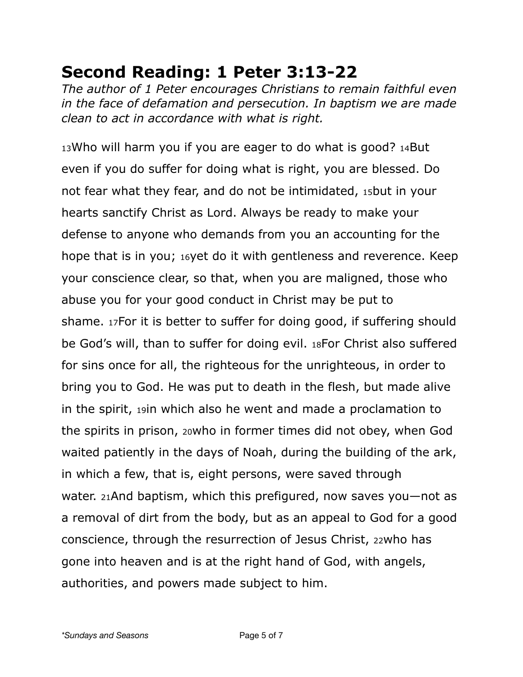## **Second Reading: 1 Peter 3:13-22**

*The author of 1 Peter encourages Christians to remain faithful even in the face of defamation and persecution. In baptism we are made clean to act in accordance with what is right.* 

13Who will harm you if you are eager to do what is good? 14But even if you do suffer for doing what is right, you are blessed. Do not fear what they fear, and do not be intimidated, 15but in your hearts sanctify Christ as Lord. Always be ready to make your defense to anyone who demands from you an accounting for the hope that is in you; 16yet do it with gentleness and reverence. Keep your conscience clear, so that, when you are maligned, those who abuse you for your good conduct in Christ may be put to shame. 17For it is better to suffer for doing good, if suffering should be God's will, than to suffer for doing evil. 18For Christ also suffered for sins once for all, the righteous for the unrighteous, in order to bring you to God. He was put to death in the flesh, but made alive in the spirit, 19in which also he went and made a proclamation to the spirits in prison, 20who in former times did not obey, when God waited patiently in the days of Noah, during the building of the ark, in which a few, that is, eight persons, were saved through water. 21And baptism, which this prefigured, now saves you—not as a removal of dirt from the body, but as an appeal to God for a good conscience, through the resurrection of Jesus Christ, 22who has gone into heaven and is at the right hand of God, with angels, authorities, and powers made subject to him.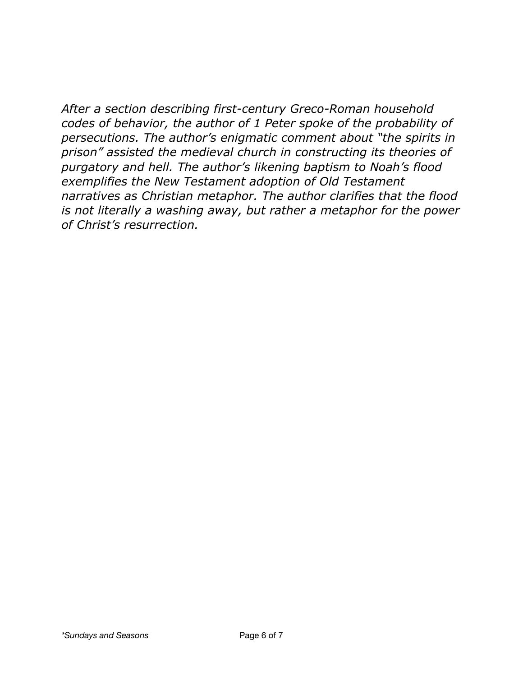*After a section describing first-century Greco-Roman household codes of behavior, the author of 1 Peter spoke of the probability of persecutions. The author's enigmatic comment about "the spirits in prison" assisted the medieval church in constructing its theories of purgatory and hell. The author's likening baptism to Noah's flood exemplifies the New Testament adoption of Old Testament narratives as Christian metaphor. The author clarifies that the flood is not literally a washing away, but rather a metaphor for the power of Christ's resurrection.*